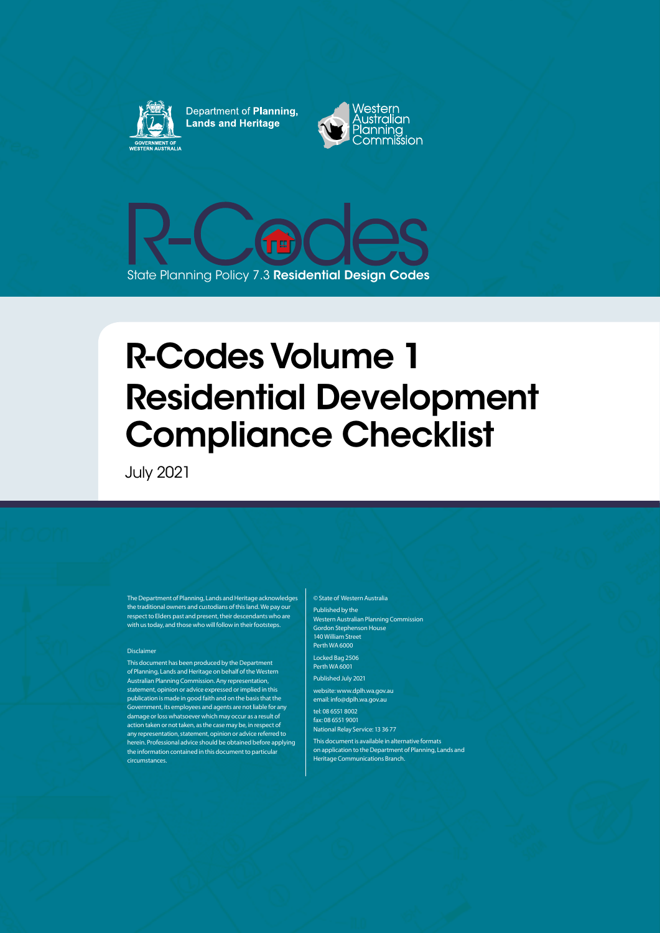

Department of Planning, **Lands and Heritage** 





# R-Codes Volume 1 Residential Development Compliance Checklist

July 2021

The Department of Planning, Lands and Heritage acknowledges the traditional owners and custodians of thisland. We pay our respect to Elders past and present, their descendants who are with us today, and those who will follow in their footsteps.

#### Disclaimer

This document has been produced by the Department of Planning, Lands and Heritage on behalf of the Western Australian Planning Commission. Any representation, statement, opinion or advice expressed orimplied in this publication is made in good faith and on the basis that the Government, its employees and agents are not liable for any damage orloss whatsoever which may occur as a result of action taken or nottaken, as the case may be, in respect of any representation, statement, opinion or advice referred to herein. Professional advice should be obtained before applying the information contained in this document to particular circumstances.

Published by the Western Australian Planning Commission Gordon Stephenson House 140 William Street Perth WA 6000 Locked Bag 2506 Perth WA 6001 Published July 2021 website: www.dplh.wa.gov.au email: info@dplh.wa.gov.au tel: 08 6551 8002 fax: 08 6551 9001 National Relay Service: 13 36 77 This document is available in alternative formats on application to the Department of Planning, Lands and Heritage Communications Branch.

© State of Western Australia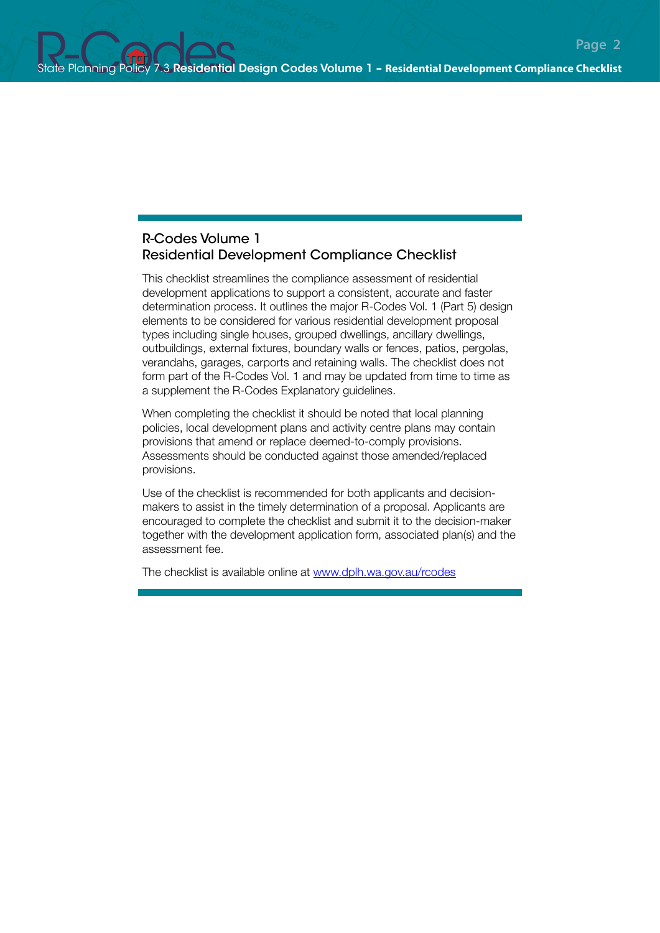#### R-Codes Volume 1 Residential Development Compliance Checklist

This checklist streamlines the compliance assessment of residential development applications to support a consistent, accurate and faster determination process. It outlines the major R-Codes Vol. 1 (Part 5) design elements to be considered for various residential development proposal types including single houses, grouped dwellings, ancillary dwellings, outbuildings, external fixtures, boundary walls or fences, patios, pergolas, verandahs, garages, carports and retaining walls. The checklist does not form part of the R-Codes Vol. 1 and may be updated from time to time as a supplement the R-Codes Explanatory guidelines.

When completing the checklist it should be noted that local planning policies, local development plans and activity centre plans may contain provisions that amend or replace deemed-to-comply provisions. Assessments should be conducted against those amended/replaced provisions.

Use of the checklist is recommended for both applicants and decisionmakers to assist in the timely determination of a proposal. Applicants are encouraged to complete the checklist and submit it to the decision-maker together with the development application form, associated plan(s) and the assessment fee.

The checklist is available online at www.dplh.wa.gov.au/rcodes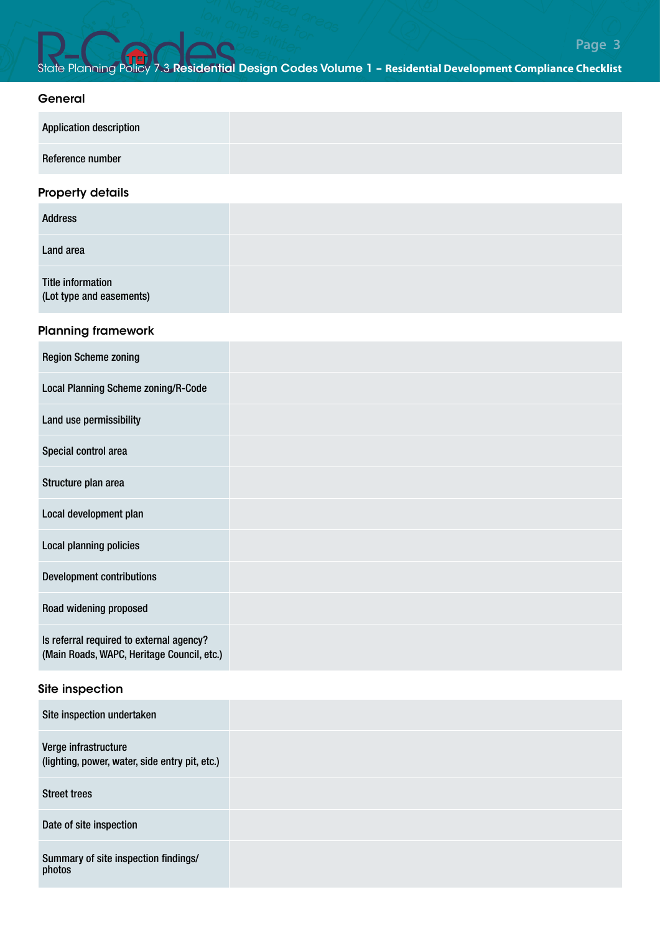#### General

| <b>Application description</b> |  |
|--------------------------------|--|
| Reference number               |  |

#### Property details

| <b>Address</b>                                |  |
|-----------------------------------------------|--|
| Land area                                     |  |
| Title information<br>(Lot type and easements) |  |

#### Planning framework

| <b>Region Scheme zoning</b>                                                            |  |
|----------------------------------------------------------------------------------------|--|
| Local Planning Scheme zoning/R-Code                                                    |  |
| Land use permissibility                                                                |  |
| Special control area                                                                   |  |
| Structure plan area                                                                    |  |
| Local development plan                                                                 |  |
| Local planning policies                                                                |  |
| <b>Development contributions</b>                                                       |  |
| Road widening proposed                                                                 |  |
| Is referral required to external agency?<br>(Main Roads, WAPC, Heritage Council, etc.) |  |
| Site inspection                                                                        |  |
| Site inspection undertaken                                                             |  |
| Verge infrastructure<br>(lighting, power, water, side entry pit, etc.)                 |  |
| <b>Street trees</b>                                                                    |  |
| Date of site inspection                                                                |  |
| Summary of site inspection findings/<br>photos                                         |  |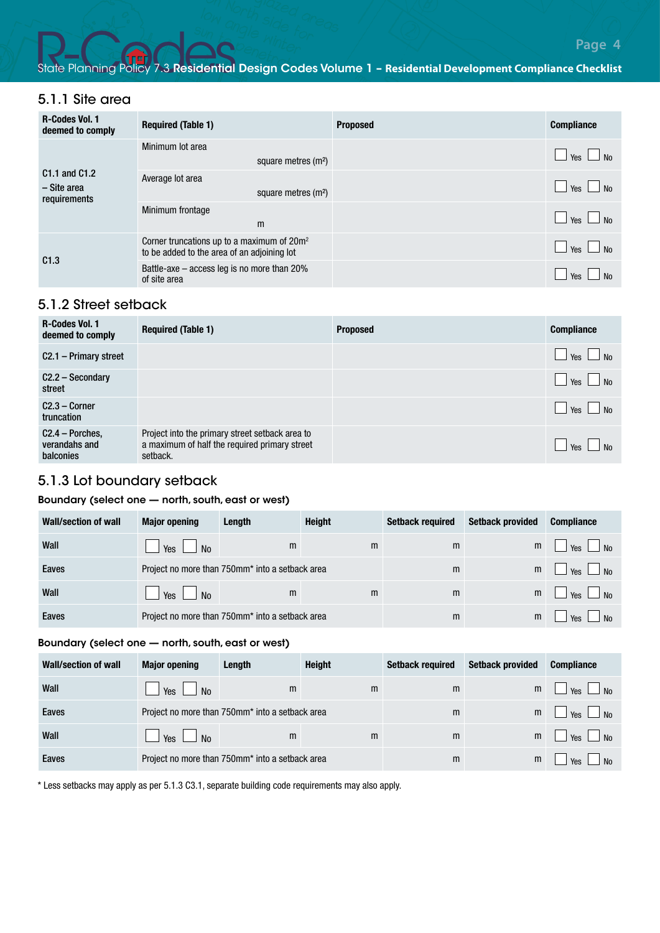#### 5.1.1 Site area

| <b>R-Codes Vol. 1</b><br>deemed to comply                            | <b>Required (Table 1)</b>                                                                    | <b>Proposed</b> | <b>Compliance</b>                  |
|----------------------------------------------------------------------|----------------------------------------------------------------------------------------------|-----------------|------------------------------------|
| C <sub>1.1</sub> and C <sub>1.2</sub><br>- Site area<br>requirements | Minimum lot area<br>square metres (m <sup>2</sup> )                                          |                 | N <sub>0</sub><br>Yes I            |
|                                                                      | Average lot area<br>square metres (m <sup>2</sup> )                                          |                 | $\frac{1}{2}$ Yes $\frac{1}{2}$ No |
|                                                                      | Minimum frontage<br>m                                                                        |                 | $\overline{M}$<br>Yes L            |
| C1.3                                                                 | Corner truncations up to a maximum of $20m^2$<br>to be added to the area of an adjoining lot |                 | $\mathsf{N}$<br>Yes                |
|                                                                      | Battle-axe - access leg is no more than 20%<br>of site area                                  |                 | No<br>Yes                          |

#### 5.1.2 Street setback

| <b>R-Codes Vol. 1</b><br>deemed to comply      | <b>Required (Table 1)</b>                                                                                    | <b>Proposed</b> | <b>Compliance</b>       |
|------------------------------------------------|--------------------------------------------------------------------------------------------------------------|-----------------|-------------------------|
| C2.1 - Primary street                          |                                                                                                              |                 | Yes  <br>N <sub>0</sub> |
| $C2.2 -$ Secondary<br>street                   |                                                                                                              |                 | Yes  <br>N <sub>0</sub> |
| $C2.3 - Corner$<br>truncation                  |                                                                                                              |                 | Yes  <br><b>No</b>      |
| $C2.4 - Porches$<br>verandahs and<br>balconies | Project into the primary street setback area to<br>a maximum of half the required primary street<br>setback. |                 | Yes                     |

#### 5.1.3 Lot boundary setback

#### Boundary (select one — north, south, east or west)

| Wall/section of wall | <b>Major opening</b>                            | Length                                          | <b>Height</b> | <b>Setback required</b> | <b>Setback provided</b> | <b>Compliance</b>                  |
|----------------------|-------------------------------------------------|-------------------------------------------------|---------------|-------------------------|-------------------------|------------------------------------|
| Wall                 | Yes  <br>N <sub>0</sub>                         | m                                               | m             | m                       | m                       | $\vert$ No<br>Yes                  |
| Eaves                | Project no more than 750mm* into a setback area |                                                 |               | m                       | m                       | $\frac{1}{2}$ Yes $\frac{1}{2}$ No |
| Wall                 | Yes<br>N <sub>0</sub>                           | m                                               | m             | m                       | m                       | $\vert$ $\vert$ No<br>Yes          |
| Eaves                |                                                 | Project no more than 750mm* into a setback area |               | m                       | m                       | Yes<br>No                          |

#### Boundary (select one — north, south, east or west)

| Wall/section of wall | <b>Major opening</b>                            | Length                                          | <b>Height</b> | <b>Setback required</b> | <b>Setback provided</b> | <b>Compliance</b>          |
|----------------------|-------------------------------------------------|-------------------------------------------------|---------------|-------------------------|-------------------------|----------------------------|
| Wall                 | $\vert$ Yes $\vert$ No                          | m                                               | m             | m                       | m                       | $Yes$ No                   |
| Eaves                | Project no more than 750mm* into a setback area |                                                 |               | m                       | m                       | $Yes$ No<br>$\blacksquare$ |
| Wall                 | $\Box$ Yes $\Box$ No                            | m                                               | m             | m                       | m                       | $Yes$ No                   |
| Eaves                |                                                 | Project no more than 750mm* into a setback area |               | m                       | m                       | Yes<br>N <sub>0</sub>      |

\* Less setbacks may apply as per 5.1.3 C3.1, separate building code requirements may also apply.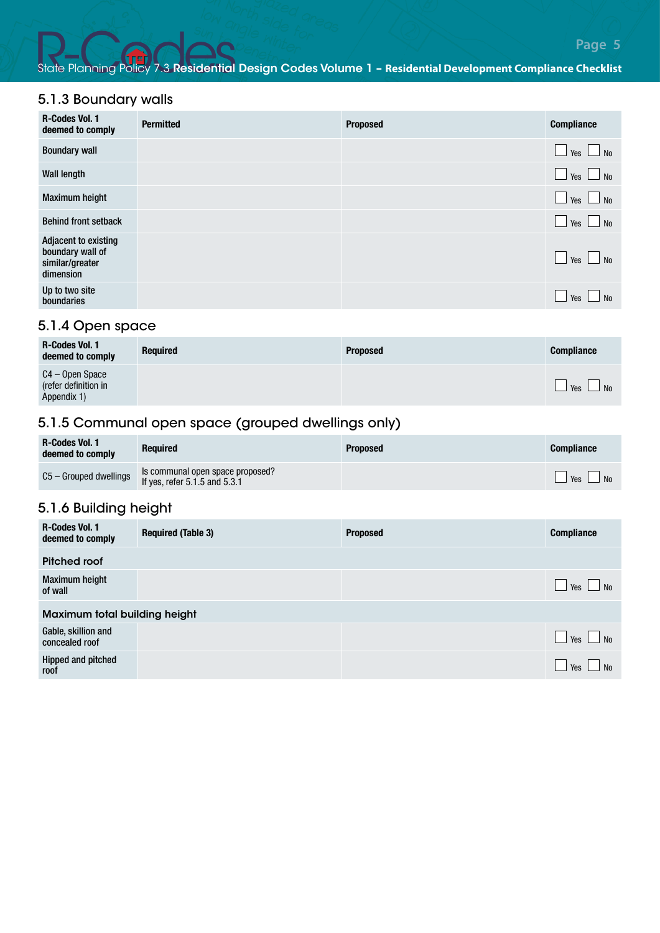#### 5.1.3 Boundary walls

| <b>R-Codes Vol. 1</b><br>deemed to comply                                | <b>Permitted</b> | <b>Proposed</b> | <b>Compliance</b>              |
|--------------------------------------------------------------------------|------------------|-----------------|--------------------------------|
| <b>Boundary wall</b>                                                     |                  |                 | $\Box$ Yes $\Box$ No           |
| <b>Wall length</b>                                                       |                  |                 | $\Box$ Yes $\Box$ No           |
| <b>Maximum height</b>                                                    |                  |                 | $\Box$ Yes $\Box$ No           |
| <b>Behind front setback</b>                                              |                  |                 | $\Box$ Yes $\Box$ No           |
| Adjacent to existing<br>boundary wall of<br>similar/greater<br>dimension |                  |                 | $\Box$ Yes $\Box$ No           |
| Up to two site<br>boundaries                                             |                  |                 | $\Box$ Yes $\Box$<br><b>No</b> |

#### 5.1.4 Open space

| <b>R-Codes Vol. 1</b><br>deemed to comply              | <b>Required</b> | <b>Proposed</b> | <b>Compliance</b>            |
|--------------------------------------------------------|-----------------|-----------------|------------------------------|
| C4 – Open Space<br>(refer definition in<br>Appendix 1) |                 |                 | <b>Yes</b><br>N <sub>0</sub> |

# 5.1.5 Communal open space (grouped dwellings only)

| R-Codes Vol. 1<br>deemed to comply | <b>Required</b>                                                       | <b>Proposed</b> | <b>Compliance</b>    |
|------------------------------------|-----------------------------------------------------------------------|-----------------|----------------------|
| C5 - Grouped dwellings             | Is communal open space proposed?<br>If yes, refer $5.1.5$ and $5.3.1$ |                 | $\Box$ Yes $\Box$ No |

#### 5.1.6 Building height

| <b>R-Codes Vol. 1</b><br>deemed to comply | <b>Required (Table 3)</b> | <b>Proposed</b> | <b>Compliance</b>                  |
|-------------------------------------------|---------------------------|-----------------|------------------------------------|
| Pitched roof                              |                           |                 |                                    |
| <b>Maximum height</b><br>of wall          |                           |                 | N <sub>0</sub><br>Yes I            |
| Maximum total building height             |                           |                 |                                    |
| Gable, skillion and<br>concealed roof     |                           |                 | $\frac{1}{2}$ Yes $\frac{1}{2}$ No |
| Hipped and pitched<br>roof                |                           |                 | No<br>Yes                          |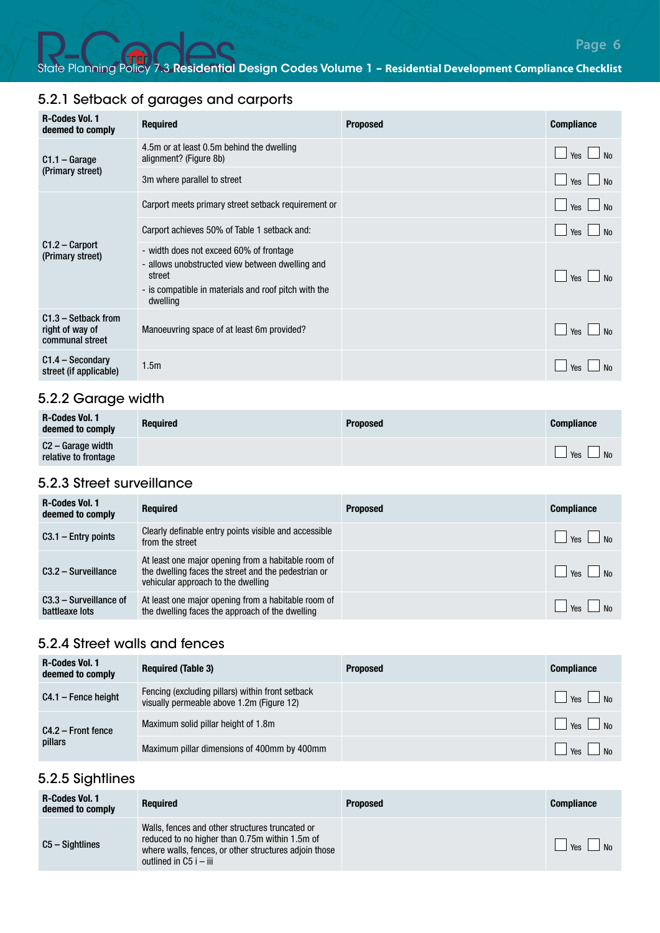# 5.2.1 Setback of garages and carports

| <b>R-Codes Vol. 1</b><br>deemed to comply                   | <b>Required</b>                                                                                                                                                          | <b>Proposed</b> | <b>Compliance</b>     |
|-------------------------------------------------------------|--------------------------------------------------------------------------------------------------------------------------------------------------------------------------|-----------------|-----------------------|
| $C1.1 - \text{Garage}$                                      | 4.5m or at least 0.5m behind the dwelling<br>alignment? (Figure 8b)                                                                                                      |                 | N <sub>0</sub><br>Yes |
| (Primary street)                                            | 3m where parallel to street                                                                                                                                              |                 | <b>No</b><br>Yes      |
|                                                             | Carport meets primary street setback requirement or                                                                                                                      |                 | No<br>Yes             |
|                                                             | Carport achieves 50% of Table 1 setback and:                                                                                                                             |                 | <b>No</b><br>Yes      |
| $C1.2 - Carport$<br>(Primary street)                        | - width does not exceed 60% of frontage<br>- allows unobstructed view between dwelling and<br>street<br>- is compatible in materials and roof pitch with the<br>dwelling |                 | Yes                   |
| $C1.3 - Setback from$<br>right of way of<br>communal street | Manoeuvring space of at least 6m provided?                                                                                                                               |                 | Yes                   |
| $C1.4 - Secondary$<br>street (if applicable)                | 1.5 <sub>m</sub>                                                                                                                                                         |                 | Yes                   |

# 5.2.2 Garage width

| <b>R-Codes Vol. 1</b><br>deemed to comply | <b>Required</b> | <b>Proposed</b> | <b>Compliance</b>                                                                    |
|-------------------------------------------|-----------------|-----------------|--------------------------------------------------------------------------------------|
| C2 – Garage width<br>relative to frontage |                 |                 | $\overline{\phantom{a}}$ No<br>$\overline{\phantom{a}}$ Yes $\overline{\phantom{a}}$ |

# 5.2.3 Street surveillance

| <b>R-Codes Vol. 1</b><br>deemed to comply  | <b>Required</b>                                                                                                                                  | <b>Proposed</b> | <b>Compliance</b>                          |
|--------------------------------------------|--------------------------------------------------------------------------------------------------------------------------------------------------|-----------------|--------------------------------------------|
| $C3.1$ – Entry points                      | Clearly definable entry points visible and accessible<br>from the street                                                                         |                 | $\parallel$ $\parallel$ Yes $\parallel$ No |
| $C3.2 - Surveillance$                      | At least one major opening from a habitable room of<br>the dwelling faces the street and the pedestrian or<br>vehicular approach to the dwelling |                 | $\vert$ $\vert$ Yes $\vert$ No             |
| $C3.3 -$ Surveillance of<br>battleaxe lots | At least one major opening from a habitable room of<br>the dwelling faces the approach of the dwelling                                           |                 | $\vert$ $\vert$ Yes $\vert$ $\vert$ No     |

#### 5.2.4 Street walls and fences

| <b>R-Codes Vol. 1</b><br>deemed to comply | <b>Required (Table 3)</b>                                                                     | <b>Proposed</b> | <b>Compliance</b> |
|-------------------------------------------|-----------------------------------------------------------------------------------------------|-----------------|-------------------|
| $C4.1$ – Fence height                     | Fencing (excluding pillars) within front setback<br>visually permeable above 1.2m (Figure 12) |                 | $Yes$ No          |
| $C4.2 -$ Front fence<br>pillars           | Maximum solid pillar height of 1.8m                                                           |                 | $Yes$ No          |
|                                           | Maximum pillar dimensions of 400mm by 400mm                                                   |                 | $Y_{\text{ES}}$   |

#### 5.2.5 Sightlines

| <b>R-Codes Vol. 1</b><br>deemed to comply | <b>Required</b>                                                                                                                                                                      | <b>Proposed</b> | <b>Compliance</b>                   |
|-------------------------------------------|--------------------------------------------------------------------------------------------------------------------------------------------------------------------------------------|-----------------|-------------------------------------|
| C5 – Sightlines                           | Walls, fences and other structures truncated or<br>reduced to no higher than 0.75m within 1.5m of<br>where walls, fences, or other structures adjoin those<br>outlined in C5 i – iii |                 | $\frac{1}{1}$ Yes<br>N <sub>0</sub> |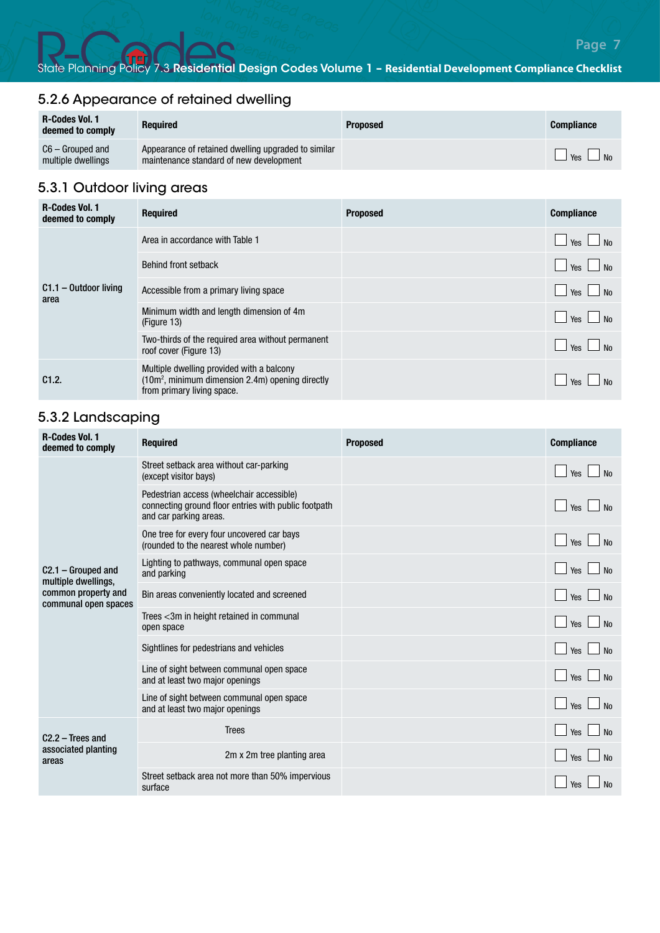# 5.2.6 Appearance of retained dwelling

| <b>R-Codes Vol. 1</b><br>deemed to comply | <b>Required</b>                                                                                | <b>Proposed</b> | <b>Compliance</b>    |
|-------------------------------------------|------------------------------------------------------------------------------------------------|-----------------|----------------------|
| C6 – Grouped and<br>multiple dwellings    | Appearance of retained dwelling upgraded to similar<br>maintenance standard of new development |                 | $\Box$ Yes $\Box$ No |

# 5.3.1 Outdoor living areas

| <b>R-Codes Vol. 1</b><br>deemed to comply | <b>Required</b>                                                                                                                         | <b>Proposed</b> | <b>Compliance</b>                                |
|-------------------------------------------|-----------------------------------------------------------------------------------------------------------------------------------------|-----------------|--------------------------------------------------|
|                                           | Area in accordance with Table 1                                                                                                         |                 | $\Box$ No<br>Yes L                               |
|                                           | Behind front setback                                                                                                                    |                 | $\overline{\phantom{a}}$ No<br>Yes               |
| $C1.1 - Outdoor$ living<br>area           | Accessible from a primary living space                                                                                                  |                 | $\frac{1}{\sqrt{2}}$ Yes $\frac{1}{\sqrt{2}}$ No |
|                                           | Minimum width and length dimension of 4m<br>(Figure 13)                                                                                 |                 | $\overline{\phantom{a}}$ No<br>Yes               |
|                                           | Two-thirds of the required area without permanent<br>roof cover (Figure 13)                                                             |                 | $\overline{\text{No}}$<br>Yes I                  |
| C1.2.                                     | Multiple dwelling provided with a balcony<br>(10m <sup>2</sup> , minimum dimension 2.4m) opening directly<br>from primary living space. |                 | Yes<br>No                                        |

## 5.3.2 Landscaping

| <b>R-Codes Vol. 1</b><br>deemed to comply          | <b>Required</b>                                                                                                             | <b>Proposed</b> | <b>Compliance</b>                     |
|----------------------------------------------------|-----------------------------------------------------------------------------------------------------------------------------|-----------------|---------------------------------------|
|                                                    | Street setback area without car-parking<br>(except visitor bays)                                                            |                 | N <sub>o</sub><br>Yes                 |
|                                                    | Pedestrian access (wheelchair accessible)<br>connecting ground floor entries with public footpath<br>and car parking areas. |                 | No<br>Yes                             |
|                                                    | One tree for every four uncovered car bays<br>(rounded to the nearest whole number)                                         |                 | No<br>Yes I<br>$\sim$                 |
| $C2.1 - Grouped$ and<br>multiple dwellings,        | Lighting to pathways, communal open space<br>and parking                                                                    |                 | N <sub>0</sub><br>Yes $\Box$          |
| common property and<br>communal open spaces        | Bin areas conveniently located and screened                                                                                 |                 | <b>No</b><br>Yes I<br><b>Contract</b> |
|                                                    | Trees <3m in height retained in communal<br>open space                                                                      |                 | N <sub>0</sub><br>Yes $\Box$          |
|                                                    | Sightlines for pedestrians and vehicles                                                                                     |                 | N <sub>0</sub><br>Yes $\Box$          |
|                                                    | Line of sight between communal open space<br>and at least two major openings                                                |                 | Yes $\Box$ No                         |
|                                                    | Line of sight between communal open space<br>and at least two major openings                                                |                 | Yes $\Box$<br>N <sub>0</sub>          |
| $C2.2$ – Trees and<br>associated planting<br>areas | <b>Trees</b>                                                                                                                |                 | No<br>Yes                             |
|                                                    | 2m x 2m tree planting area                                                                                                  |                 | No<br>Yes                             |
|                                                    | Street setback area not more than 50% impervious<br>surface                                                                 |                 | Yes                                   |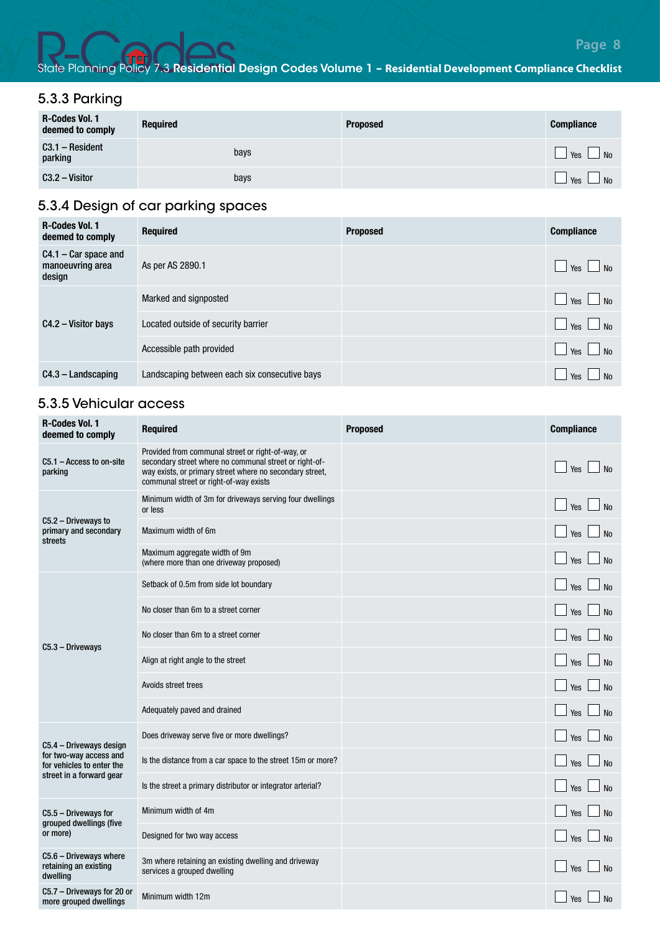# 5.3.3 Parking

| R-Codes Vol. 1<br>deemed to comply | <b>Required</b> | <b>Proposed</b> | <b>Compliance</b>                            |
|------------------------------------|-----------------|-----------------|----------------------------------------------|
| C3.1 - Resident<br>parking         | bays            |                 | $\vert$ Yes $\vert$<br>N <sub>0</sub>        |
| $C3.2 - Visitor$                   | bays            |                 | $\frac{1}{2}$ Yes $\frac{1}{2}$<br><b>No</b> |

# 5.3.4 Design of car parking spaces

| <b>R-Codes Vol. 1</b><br>deemed to comply            | <b>Required</b>                               | <b>Proposed</b> | <b>Compliance</b>     |
|------------------------------------------------------|-----------------------------------------------|-----------------|-----------------------|
| $C4.1 - Car space$ and<br>manoeuvring area<br>design | As per AS 2890.1                              |                 | N <sub>0</sub><br>Yes |
| C4.2 - Visitor bays                                  | Marked and signposted                         |                 | $\vert$ No<br>Yes     |
|                                                      | Located outside of security barrier           |                 | $\Box$ No<br>Yes      |
|                                                      | Accessible path provided                      |                 | N <sub>0</sub><br>Yes |
| $C4.3 -$ Landscaping                                 | Landscaping between each six consecutive bays |                 | No<br>Yes             |

# 5.3.5 Vehicular access

| <b>R-Codes Vol. 1</b><br>deemed to comply                     | <b>Required</b>                                                                                                                                                                                                   | <b>Proposed</b> | <b>Compliance</b>  |
|---------------------------------------------------------------|-------------------------------------------------------------------------------------------------------------------------------------------------------------------------------------------------------------------|-----------------|--------------------|
| $C5.1 - Access to on-site$<br>parking                         | Provided from communal street or right-of-way, or<br>secondary street where no communal street or right-of-<br>way exists, or primary street where no secondary street,<br>communal street or right-of-way exists |                 | Yes<br><b>No</b>   |
|                                                               | Minimum width of 3m for driveways serving four dwellings<br>or less                                                                                                                                               |                 | Yes<br><b>No</b>   |
| C5.2 - Driveways to<br>primary and secondary<br>streets       | Maximum width of 6m                                                                                                                                                                                               |                 | Yes<br><b>No</b>   |
|                                                               | Maximum aggregate width of 9m<br>(where more than one driveway proposed)                                                                                                                                          |                 | No<br>Yes          |
|                                                               | Setback of 0.5m from side lot boundary                                                                                                                                                                            |                 | Yes<br><b>No</b>   |
|                                                               | No closer than 6m to a street corner                                                                                                                                                                              |                 | Yes<br><b>No</b>   |
| C5.3 - Driveways                                              | No closer than 6m to a street corner                                                                                                                                                                              |                 | <b>No</b><br>Yes   |
|                                                               | Align at right angle to the street                                                                                                                                                                                |                 | Yes<br><b>No</b>   |
|                                                               | Avoids street trees                                                                                                                                                                                               |                 | Yes<br><b>No</b>   |
|                                                               | Adequately paved and drained                                                                                                                                                                                      |                 | Yes<br><b>No</b>   |
| C5.4 - Driveways design                                       | Does driveway serve five or more dwellings?                                                                                                                                                                       |                 | <b>No</b><br>Yes   |
| for two-way access and<br>for vehicles to enter the           | Is the distance from a car space to the street 15m or more?                                                                                                                                                       |                 | Yes<br><b>No</b>   |
| street in a forward gear                                      | Is the street a primary distributor or integrator arterial?                                                                                                                                                       |                 | Yes<br><b>No</b>   |
| C5.5 - Driveways for<br>grouped dwellings (five               | Minimum width of 4m                                                                                                                                                                                               |                 | <b>No</b><br>Yes   |
| or more)                                                      | Designed for two way access                                                                                                                                                                                       |                 | Yes<br><b>No</b>   |
| $C5.6 - Driveways where$<br>retaining an existing<br>dwelling | 3m where retaining an existing dwelling and driveway<br>services a grouped dwelling                                                                                                                               |                 | Yes<br><b>No</b>   |
| C5.7 - Driveways for 20 or<br>more grouped dwellings          | Minimum width 12m                                                                                                                                                                                                 |                 | Yes [<br><b>No</b> |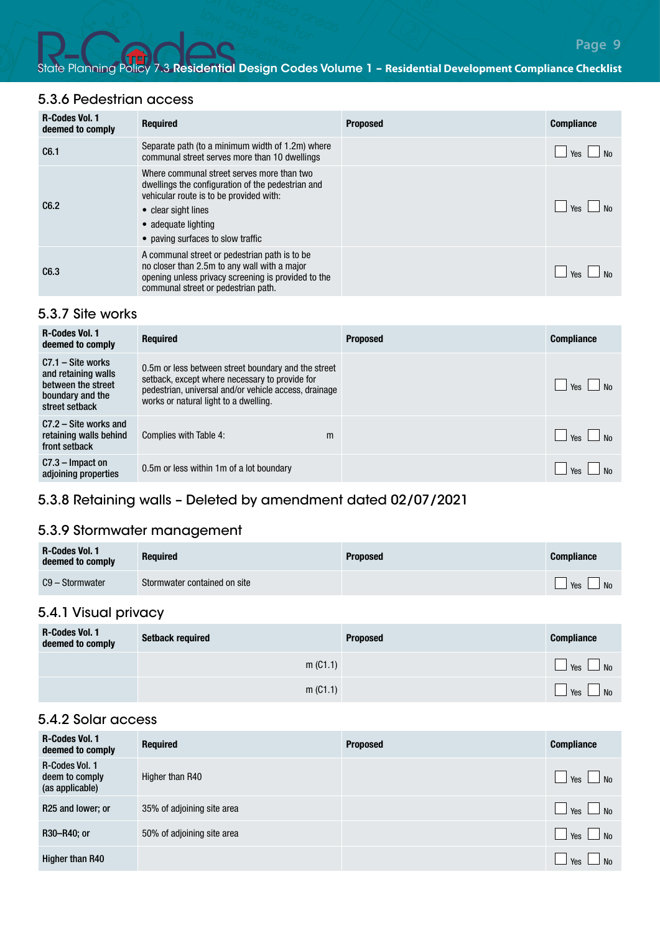# 5.3.6 Pedestrian access

| <b>R-Codes Vol. 1</b><br>deemed to comply | <b>Required</b>                                                                                                                                                                                                               | <b>Proposed</b> | <b>Compliance</b> |
|-------------------------------------------|-------------------------------------------------------------------------------------------------------------------------------------------------------------------------------------------------------------------------------|-----------------|-------------------|
| C6.1                                      | Separate path (to a minimum width of 1.2m) where<br>communal street serves more than 10 dwellings                                                                                                                             |                 | l Yes             |
| C6.2                                      | Where communal street serves more than two<br>dwellings the configuration of the pedestrian and<br>vehicular route is to be provided with:<br>• clear sight lines<br>• adequate lighting<br>• paving surfaces to slow traffic |                 | <b>Yes</b>        |
| C6.3                                      | A communal street or pedestrian path is to be<br>no closer than 2.5m to any wall with a major<br>opening unless privacy screening is provided to the<br>communal street or pedestrian path.                                   |                 | Ves               |

#### 5.3.7 Site works

| <b>R-Codes Vol. 1</b><br>deemed to comply                                                              | <b>Required</b>                                                                                                                                                                                         | <b>Proposed</b> | <b>Compliance</b> |
|--------------------------------------------------------------------------------------------------------|---------------------------------------------------------------------------------------------------------------------------------------------------------------------------------------------------------|-----------------|-------------------|
| $C7.1 - Site works$<br>and retaining walls<br>between the street<br>boundary and the<br>street setback | 0.5m or less between street boundary and the street<br>setback, except where necessary to provide for<br>pedestrian, universal and/or vehicle access, drainage<br>works or natural light to a dwelling. |                 | $Y_{\text{ES}}$   |
| $C7.2 - Site$ works and<br>retaining walls behind<br>front setback                                     | Complies with Table 4:<br>m                                                                                                                                                                             |                 | $Y_{PS}$          |
| $C7.3$ – Impact on<br>adjoining properties                                                             | 0.5m or less within 1m of a lot boundary                                                                                                                                                                |                 | Yes               |

## 5.3.8 Retaining walls – Deleted by amendment dated 02/07/2021

# 5.3.9 Stormwater management

| <b>R-Codes Vol. 1</b><br>deemed to comply | <b>Required</b>              | <b>Proposed</b> | <b>Compliance</b>                                  |
|-------------------------------------------|------------------------------|-----------------|----------------------------------------------------|
| C9 – Stormwater                           | Stormwater contained on site |                 | $\Box$ Yes $\Box$ .<br>$\overline{\phantom{a}}$ No |

## 5.4.1 Visual privacy

| <b>R-Codes Vol. 1</b><br>deemed to comply | <b>Setback required</b> | <b>Proposed</b> | <b>Compliance</b>     |
|-------------------------------------------|-------------------------|-----------------|-----------------------|
|                                           | m (C1.1)                |                 | Yes<br>N <sub>0</sub> |
|                                           | m (C1.1)                |                 | Yes<br>No.            |

#### 5.4.2 Solar access

| <b>R-Codes Vol. 1</b><br>deemed to comply           | <b>Required</b>            | <b>Proposed</b> | <b>Compliance</b>                       |
|-----------------------------------------------------|----------------------------|-----------------|-----------------------------------------|
| R-Codes Vol. 1<br>deem to comply<br>(as applicable) | Higher than R40            |                 | Yes<br>N <sub>0</sub>                   |
| R25 and lower; or                                   | 35% of adjoining site area |                 | $\blacksquare$<br>Yes  <br>No           |
| R30-R40; or                                         | 50% of adjoining site area |                 | $\blacksquare$<br>Yes<br>N <sub>0</sub> |
| Higher than R40                                     |                            |                 | Yes<br>N <sub>0</sub>                   |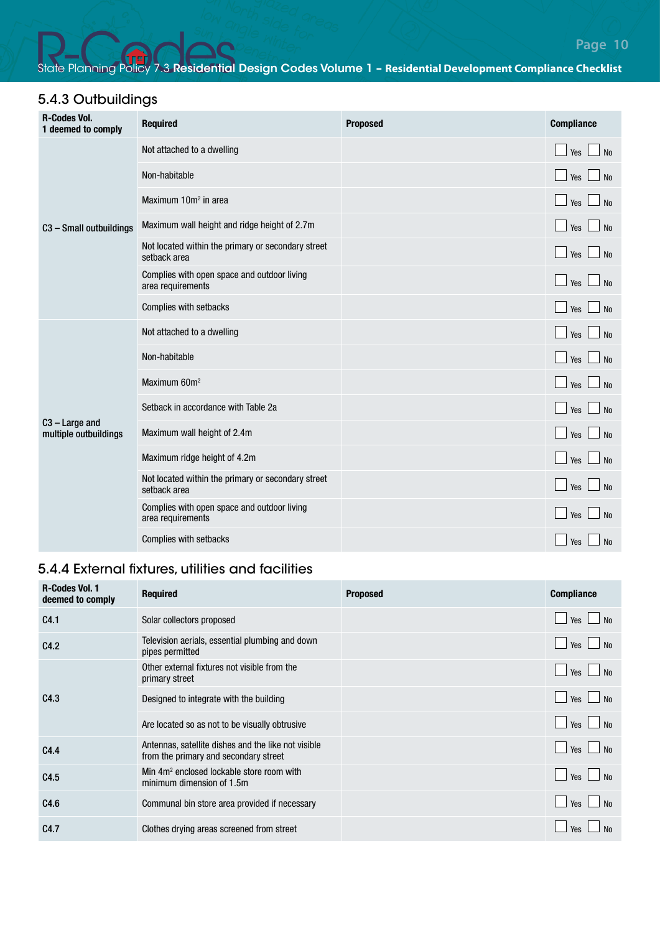# 5.4.3 Outbuildings

| <b>R-Codes Vol.</b><br>1 deemed to comply | <b>Required</b>                                                    | <b>Proposed</b> | <b>Compliance</b>                   |
|-------------------------------------------|--------------------------------------------------------------------|-----------------|-------------------------------------|
|                                           | Not attached to a dwelling                                         |                 | $\Box$ Yes $\Box$ No                |
|                                           | Non-habitable                                                      |                 | <b>No</b><br>$\Box$ Yes             |
|                                           | Maximum 10m <sup>2</sup> in area                                   |                 | No<br>$\Box$ Yes I                  |
| C3 - Small outbuildings                   | Maximum wall height and ridge height of 2.7m                       |                 | $\Box$ Yes $\Box$<br>No             |
|                                           | Not located within the primary or secondary street<br>setback area |                 | $\Box$ Yes $\Box$<br><b>No</b>      |
|                                           | Complies with open space and outdoor living<br>area requirements   |                 | N <sub>0</sub><br>$\Box$ Yes $\Box$ |
|                                           | Complies with setbacks                                             |                 | No<br>$\Box$ Yes                    |
| $C3 - Large$ and<br>multiple outbuildings | Not attached to a dwelling                                         |                 | $\Box$ Yes $\Box$<br>No             |
|                                           | Non-habitable                                                      |                 | Yes  <br><b>No</b>                  |
|                                           | Maximum 60m <sup>2</sup>                                           |                 | <b>No</b><br>$\Box$ Yes I           |
|                                           | Setback in accordance with Table 2a                                |                 | <b>No</b><br>$\Box$ Yes I           |
|                                           | Maximum wall height of 2.4m                                        |                 | No<br>$\Box$ Yes $\Box$             |
|                                           | Maximum ridge height of 4.2m                                       |                 | No<br>$\Box$ Yes $\Box$             |
|                                           | Not located within the primary or secondary street<br>setback area |                 | $\Box$ Yes<br>No                    |
|                                           | Complies with open space and outdoor living<br>area requirements   |                 | No<br>$\blacksquare$ Yes            |
|                                           | Complies with setbacks                                             |                 | Yes<br>No                           |

# 5.4.4 External fixtures, utilities and facilities

| <b>R-Codes Vol. 1</b><br>deemed to comply | <b>Required</b>                                                                              | <b>Proposed</b> | <b>Compliance</b>                  |
|-------------------------------------------|----------------------------------------------------------------------------------------------|-----------------|------------------------------------|
| C4.1                                      | Solar collectors proposed                                                                    |                 | No<br>Yes                          |
| C4.2                                      | Television aerials, essential plumbing and down<br>pipes permitted                           |                 | $\blacksquare$<br>No<br>$\Box$ Yes |
| C4.3                                      | Other external fixtures not visible from the<br>primary street                               |                 | $\blacksquare$<br>No<br>$\Box$ Yes |
|                                           | Designed to integrate with the building                                                      |                 | N <sub>0</sub><br>Yes              |
|                                           | Are located so as not to be visually obtrusive                                               |                 | No<br>Yes                          |
| C4.4                                      | Antennas, satellite dishes and the like not visible<br>from the primary and secondary street |                 | Yes<br><b>No</b>                   |
| C4.5                                      | Min 4m <sup>2</sup> enclosed lockable store room with<br>minimum dimension of 1.5m           |                 | No<br>Yes [<br>∟⊥                  |
| C4.6                                      | Communal bin store area provided if necessary                                                |                 | Yes<br><b>No</b>                   |
| C4.7                                      | Clothes drying areas screened from street                                                    |                 | Yes                                |